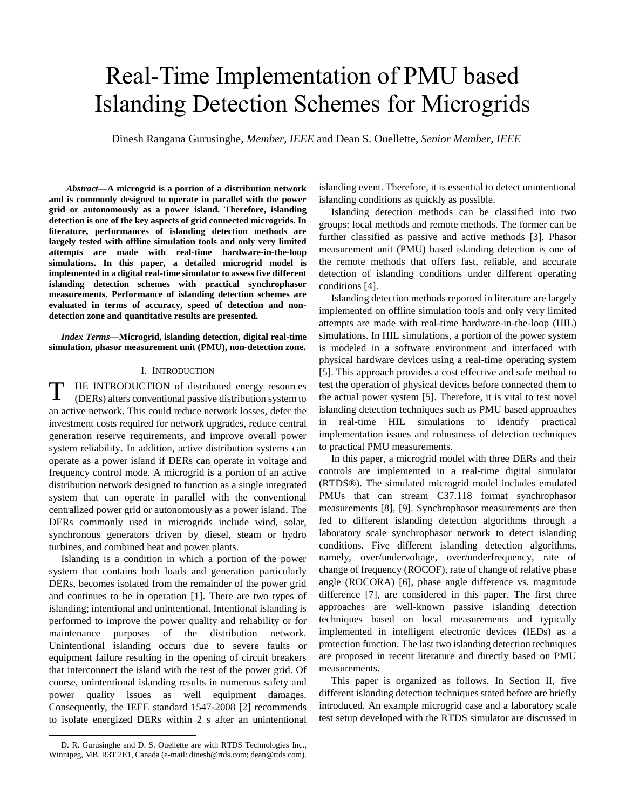# Real-Time Implementation of PMU based Islanding Detection Schemes for Microgrids

Dinesh Rangana Gurusinghe, *Member, IEEE* and Dean S. Ouellette, *Senior Member, IEEE*

 *Abstract***—A microgrid is a portion of a distribution network and is commonly designed to operate in parallel with the power grid or autonomously as a power island. Therefore, islanding detection is one of the key aspects of grid connected microgrids. In literature, performances of islanding detection methods are largely tested with offline simulation tools and only very limited attempts are made with real-time hardware-in-the-loop simulations. In this paper, a detailed microgrid model is implemented in a digital real-time simulator to assess five different islanding detection schemes with practical synchrophasor measurements. Performance of islanding detection schemes are evaluated in terms of accuracy, speed of detection and nondetection zone and quantitative results are presented.**

*Index Terms***—Microgrid, islanding detection, digital real-time simulation, phasor measurement unit (PMU), non-detection zone.**

### I. INTRODUCTION

HE INTRODUCTION of distributed energy resources (DERs) alters conventional passive distribution system to an active network. This could reduce network losses, defer the investment costs required for network upgrades, reduce central generation reserve requirements, and improve overall power system reliability. In addition, active distribution systems can operate as a power island if DERs can operate in voltage and frequency control mode. A microgrid is a portion of an active distribution network designed to function as a single integrated system that can operate in parallel with the conventional centralized power grid or autonomously as a power island. The DERs commonly used in microgrids include wind, solar, synchronous generators driven by diesel, steam or hydro turbines, and combined heat and power plants. T

Islanding is a condition in which a portion of the power system that contains both loads and generation particularly DERs, becomes isolated from the remainder of the power grid and continues to be in operation [\[1\].](#page-5-0) There are two types of islanding; intentional and unintentional. Intentional islanding is performed to improve the power quality and reliability or for maintenance purposes of the distribution network. Unintentional islanding occurs due to severe faults or equipment failure resulting in the opening of circuit breakers that interconnect the island with the rest of the power grid. Of course, unintentional islanding results in numerous safety and power quality issues as well equipment damages. Consequently, the IEEE standard 1547-2008 [\[2\]](#page-5-1) recommends to isolate energized DERs within 2 s after an unintentional

D. R. Gurusinghe and D. S. Ouellette are with RTDS Technologies Inc., Winnipeg, MB, R3T 2E1, Canada (e-mail: dinesh@rtds.com; dean@rtds.com).

l

islanding event. Therefore, it is essential to detect unintentional islanding conditions as quickly as possible.

Islanding detection methods can be classified into two groups: local methods and remote methods. The former can be further classified as passive and active methods [\[3\].](#page-5-2) Phasor measurement unit (PMU) based islanding detection is one of the remote methods that offers fast, reliable, and accurate detection of islanding conditions under different operating conditions [\[4\].](#page-5-3)

Islanding detection methods reported in literature are largely implemented on offline simulation tools and only very limited attempts are made with real-time hardware-in-the-loop (HIL) simulations. In HIL simulations, a portion of the power system is modeled in a software environment and interfaced with physical hardware devices using a real-time operating system [\[5\].](#page-5-4) This approach provides a cost effective and safe method to test the operation of physical devices before connected them to the actual power system [\[5\].](#page-5-4) Therefore, it is vital to test novel islanding detection techniques such as PMU based approaches in real-time HIL simulations to identify practical implementation issues and robustness of detection techniques to practical PMU measurements.

In this paper, a microgrid model with three DERs and their controls are implemented in a real-time digital simulator (RTDS®). The simulated microgrid model includes emulated PMUs that can stream C37.118 format synchrophasor measurements [\[8\],](#page-5-5) [\[9\].](#page-5-6) Synchrophasor measurements are then fed to different islanding detection algorithms through a laboratory scale synchrophasor network to detect islanding conditions. Five different islanding detection algorithms, namely, over/undervoltage, over/underfrequency, rate of change of frequency (ROCOF), rate of change of relative phase angle (ROCORA) [\[6\],](#page-5-7) phase angle difference vs. magnitude difference [\[7\],](#page-5-8) are considered in this paper. The first three approaches are well-known passive islanding detection techniques based on local measurements and typically implemented in intelligent electronic devices (IEDs) as a protection function. The last two islanding detection techniques are proposed in recent literature and directly based on PMU measurements.

This paper is organized as follows. In Section II, five different islanding detection techniques stated before are briefly introduced. An example microgrid case and a laboratory scale test setup developed with the RTDS simulator are discussed in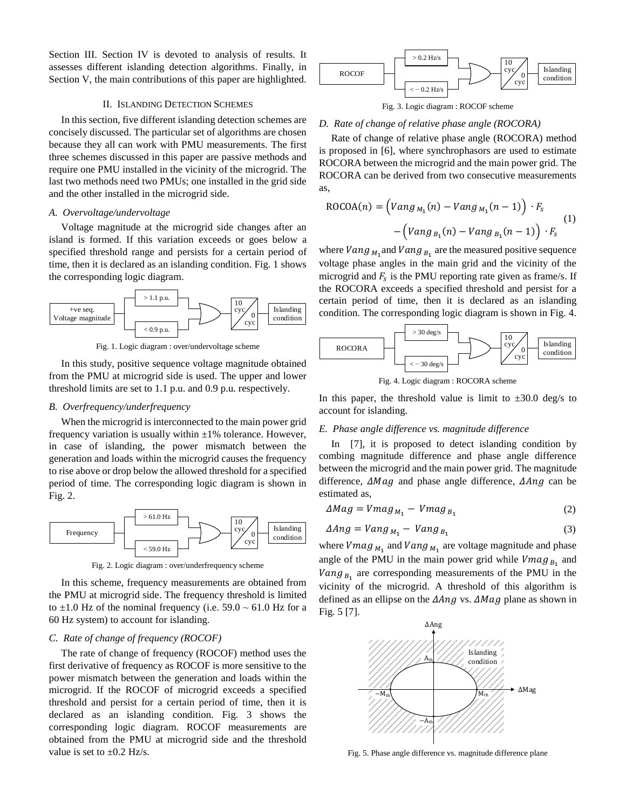Section III. Section IV is devoted to analysis of results. It assesses different islanding detection algorithms. Finally, in Section V, the main contributions of this paper are highlighted.

### II. ISLANDING DETECTION SCHEMES

In this section, five different islanding detection schemes are concisely discussed. The particular set of algorithms are chosen because they all can work with PMU measurements. The first three schemes discussed in this paper are passive methods and require one PMU installed in the vicinity of the microgrid. The last two methods need two PMUs; one installed in the grid side and the other installed in the microgrid side.

#### *A. Overvoltage/undervoltage*

Voltage magnitude at the microgrid side changes after an island is formed. If this variation exceeds or goes below a specified threshold range and persists for a certain period of time, then it is declared as an islanding condition. Fig. 1 shows the corresponding logic diagram.



Fig. 1. Logic diagram : over/undervoltage scheme

In this study, positive sequence voltage magnitude obtained from the PMU at microgrid side is used. The upper and lower threshold limits are set to 1.1 p.u. and 0.9 p.u. respectively.

#### *B. Overfrequency/underfrequency*

When the microgrid is interconnected to the main power grid frequency variation is usually within  $\pm 1\%$  tolerance. However, in case of islanding, the power mismatch between the generation and loads within the microgrid causes the frequency to rise above or drop below the allowed threshold for a specified period of time. The corresponding logic diagram is shown in Fig. 2.



Fig. 2. Logic diagram : over/underfrequency scheme

In this scheme, frequency measurements are obtained from the PMU at microgrid side. The frequency threshold is limited to  $\pm 1.0$  Hz of the nominal frequency (i.e. 59.0  $\sim 61.0$  Hz for a 60 Hz system) to account for islanding.

## *C. Rate of change of frequency (ROCOF)*

The rate of change of frequency (ROCOF) method uses the first derivative of frequency as ROCOF is more sensitive to the power mismatch between the generation and loads within the microgrid. If the ROCOF of microgrid exceeds a specified threshold and persist for a certain period of time, then it is declared as an islanding condition. Fig. 3 shows the corresponding logic diagram. ROCOF measurements are obtained from the PMU at microgrid side and the threshold value is set to  $\pm 0.2$  Hz/s.



Fig. 3. Logic diagram : ROCOF scheme

## *D. Rate of change of relative phase angle (ROCORA)*

Rate of change of relative phase angle (ROCORA) method is proposed in [\[6\],](#page-5-7) where synchrophasors are used to estimate ROCORA between the microgrid and the main power grid. The ROCORA can be derived from two consecutive measurements as,

$$
ROCOA(n) = \left( Vang_{M_1}(n) - Vang_{M_1}(n-1) \right) \cdot F_s
$$
  
- 
$$
\left( Vang_{B_1}(n) - Vang_{B_1}(n-1) \right) \cdot F_s
$$
 (1)

where  $\nu$  and  $\nu$  and  $\nu$  and  $\nu$  are the measured positive sequence voltage phase angles in the main grid and the vicinity of the microgrid and  $F_s$  is the PMU reporting rate given as frame/s. If the ROCORA exceeds a specified threshold and persist for a certain period of time, then it is declared as an islanding condition. The corresponding logic diagram is shown in Fig. 4.



Fig. 4. Logic diagram : ROCORA scheme

In this paper, the threshold value is limit to  $\pm 30.0$  deg/s to account for islanding.

#### *E. Phase angle difference vs. magnitude difference*

In [\[7\],](#page-5-8) it is proposed to detect islanding condition by combing magnitude difference and phase angle difference between the microgrid and the main power grid. The magnitude difference,  $\Delta Mag$  and phase angle difference,  $\Delta Ang$  can be estimated as,

$$
\Delta Mag = Vmag_{M_1} - Vmag_{B_1}
$$
 (2)

$$
\Delta Ang = Vang_{M_1} - Vang_{B_1} \tag{3}
$$

where  $Vmag_{M_1}$  and  $Vang_{M_1}$  are voltage magnitude and phase angle of the PMU in the main power grid while  $Vmag_{B_1}$  and *Vang*<sub> $B_1$ </sub> are corresponding measurements of the PMU in the vicinity of the microgrid. A threshold of this algorithm is defined as an ellipse on the  $\Delta Ang$  vs.  $\Delta Mag$  plane as shown in Fig. 5 [\[7\].](#page-5-8)



Fig. 5. Phase angle difference vs. magnitude difference plane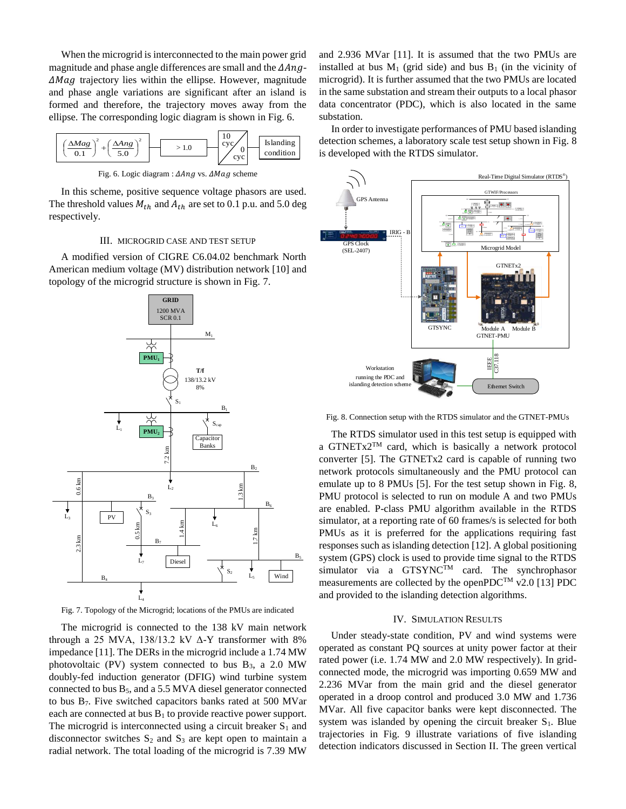When the microgrid is interconnected to the main power grid magnitude and phase angle differences are small and the  $\Delta Ang$ - $\Delta Mag$  trajectory lies within the ellipse. However, magnitude and phase angle variations are significant after an island is formed and therefore, the trajectory moves away from the ellipse. The corresponding logic diagram is shown in Fig. 6.



Fig. 6. Logic diagram :  $\Delta Ang$  vs.  $\Delta Mag$  scheme

In this scheme, positive sequence voltage phasors are used. The threshold values  $M_{th}$  and  $A_{th}$  are set to 0.1 p.u. and 5.0 deg respectively.

## III. MICROGRID CASE AND TEST SETUP

A modified version of CIGRE C6.04.02 benchmark North American medium voltage (MV) distribution network [\[10\]](#page-5-9) and topology of the microgrid structure is shown in Fig. 7.



Fig. 7. Topology of the Microgrid; locations of the PMUs are indicated

The microgrid is connected to the 138 kV main network through a 25 MVA, 138/13.2 kV  $\Delta$ -Y transformer with 8% impedance [\[11\].](#page-5-10) The DERs in the microgrid include a 1.74 MW photovoltaic (PV) system connected to bus  $B_3$ , a 2.0 MW doubly-fed induction generator (DFIG) wind turbine system connected to bus  $B_5$ , and a 5.5 MVA diesel generator connected to bus B7. Five switched capacitors banks rated at 500 MVar each are connected at bus  $B_1$  to provide reactive power support. The microgrid is interconnected using a circuit breaker  $S_1$  and disconnector switches  $S_2$  and  $S_3$  are kept open to maintain a radial network. The total loading of the microgrid is 7.39 MW

and 2.936 MVar [\[11\].](#page-5-10) It is assumed that the two PMUs are installed at bus  $M_1$  (grid side) and bus  $B_1$  (in the vicinity of microgrid). It is further assumed that the two PMUs are located in the same substation and stream their outputs to a local phasor data concentrator (PDC), which is also located in the same substation.

In order to investigate performances of PMU based islanding detection schemes, a laboratory scale test setup shown in Fig. 8 is developed with the RTDS simulator.



Fig. 8. Connection setup with the RTDS simulator and the GTNET-PMUs

The RTDS simulator used in this test setup is equipped with a GTNET $x2^{TM}$  card, which is basically a network protocol converter [\[5\].](#page-5-4) The GTNETx2 card is capable of running two network protocols simultaneously and the PMU protocol can emulate up to 8 PMUs [\[5\].](#page-5-4) For the test setup shown in Fig. 8, PMU protocol is selected to run on module A and two PMUs are enabled. P-class PMU algorithm available in the RTDS simulator, at a reporting rate of 60 frames/s is selected for both PMUs as it is preferred for the applications requiring fast responses such as islanding detectio[n \[12\].](#page-5-11) A global positioning system (GPS) clock is used to provide time signal to the RTDS simulator via a GTSYNC<sup>TM</sup> card. The synchrophasor measurements are collected by the openPDC<sup>TM</sup> v2.0 [\[13\]](#page-5-12) PDC and provided to the islanding detection algorithms.

#### IV. SIMULATION RESULTS

Under steady-state condition, PV and wind systems were operated as constant PQ sources at unity power factor at their rated power (i.e. 1.74 MW and 2.0 MW respectively). In gridconnected mode, the microgrid was importing 0.659 MW and 2.236 MVar from the main grid and the diesel generator operated in a droop control and produced 3.0 MW and 1.736 MVar. All five capacitor banks were kept disconnected. The system was islanded by opening the circuit breaker  $S_1$ . Blue trajectories in Fig. 9 illustrate variations of five islanding detection indicators discussed in Section II. The green vertical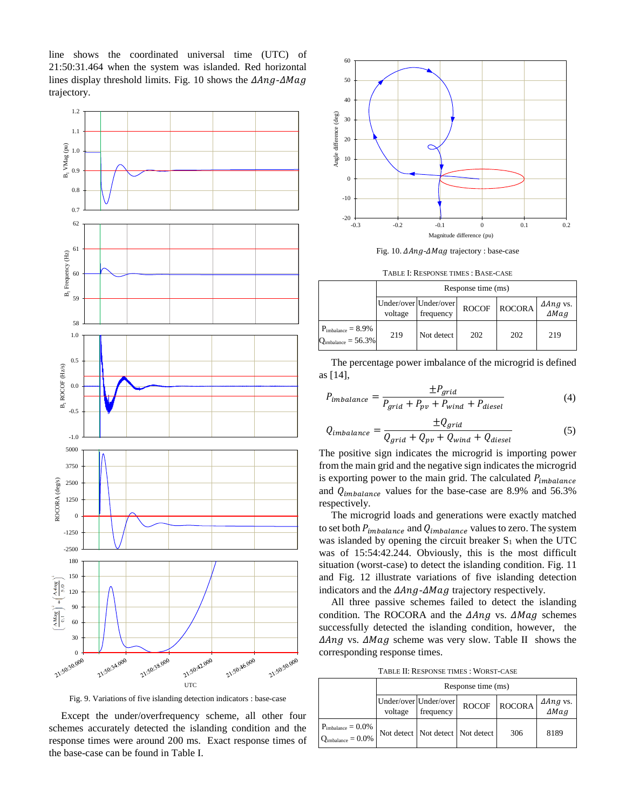line shows the coordinated universal time (UTC) of 21:50:31.464 when the system was islanded. Red horizontal lines display threshold limits. Fig. 10 shows the  $\Delta Ang$ - $\Delta Mag$ trajectory.



Fig. 9. Variations of five islanding detection indicators : base-case

Except the under/overfrequency scheme, all other four schemes accurately detected the islanding condition and the response times were around 200 ms. Exact response times of the base-case can be found in Table I.



Fig. 10.  $\triangle$ Ang- $\triangle$ Mag trajectory : base-case

TABLE I: RESPONSE TIMES : BASE-CASE

|                                                                   | Response time (ms) |                                    |              |               |                  |  |
|-------------------------------------------------------------------|--------------------|------------------------------------|--------------|---------------|------------------|--|
|                                                                   | voltage            | Under/over Under/over<br>frequency | <b>ROCOF</b> | <b>ROCORA</b> | ΔAng vs.<br>ΔMag |  |
| $P_{\text{imbalance}} = 8.9\%$<br>$Q_{\text{imbalance}} = 56.3\%$ | 219                | Not detect                         | 202          | 202           | 219              |  |

The percentage power imbalance of the microgrid is defined as [\[14\],](#page-5-13)

$$
P_{imbalance} = \frac{\pm P_{grid}}{P_{grid} + P_{pv} + P_{wind} + P_{diesel}} \tag{4}
$$

$$
Q_{imbalance} = \frac{\pm Q_{grid}}{Q_{grid} + Q_{pv} + Q_{wind} + Q_{diesel}} \tag{5}
$$

The positive sign indicates the microgrid is importing power from the main grid and the negative sign indicates the microgrid is exporting power to the main grid. The calculated  $P_{imbalance}$ and  $Q_{imbalance}$  values for the base-case are 8.9% and 56.3% respectively.

The microgrid loads and generations were exactly matched to set both  $P_{imbalance}$  and  $Q_{imbalance}$  values to zero. The system was islanded by opening the circuit breaker  $S_1$  when the UTC was of 15:54:42.244. Obviously, this is the most difficult situation (worst-case) to detect the islanding condition. Fig. 11 and Fig. 12 illustrate variations of five islanding detection indicators and the  $\Delta Ang - \Delta Mag$  trajectory respectively.

All three passive schemes failed to detect the islanding condition. The ROCORA and the  $\Delta Ang$  vs.  $\Delta Mag$  schemes successfully detected the islanding condition, however, the  $\Delta Ang$  vs.  $\Delta Mag$  scheme was very slow. Table II shows the corresponding response times.

TABLE II: RESPONSE TIMES : WORST-CASE

|                                                        | Response time (ms) |                                    |                                      |              |                  |
|--------------------------------------------------------|--------------------|------------------------------------|--------------------------------------|--------------|------------------|
|                                                        | voltage            | Under/over Under/over<br>frequency |                                      | ROCOF ROCORA | ∆Ang vs.<br>∆Mag |
| $P_{\rm imbalance}=0.0\%$<br>$Q_{\rm imbalance}=0.0\%$ |                    |                                    | Not detect   Not detect   Not detect | 306          | 8189             |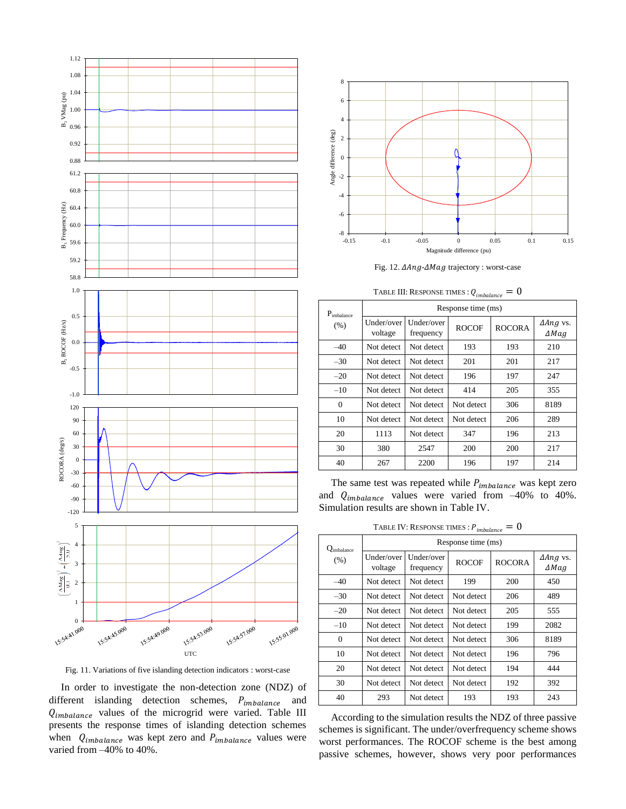

Fig. 11. Variations of five islanding detection indicators : worst-case

In order to investigate the non-detection zone (NDZ) of different islanding detection schemes,  $P_{imbalance}$  and  $Q_{imbalance}$  values of the microgrid were varied. Table III presents the response times of islanding detection schemes when  $Q_{imbalance}$  was kept zero and  $P_{imbalance}$  values were varied from –40% to 40%.



Fig. 12.  $\triangle$ Ang- $\triangle$ Mag trajectory : worst-case

| TABLE III: RESPONSE TIMES : $Q_{\it imbalance}$ : | $= 0$ |  |
|---------------------------------------------------|-------|--|
|                                                   |       |  |

| $P_{\text{imbalance}}$<br>(% ) | Response time (ms)    |                         |              |               |                                         |  |
|--------------------------------|-----------------------|-------------------------|--------------|---------------|-----------------------------------------|--|
|                                | Under/over<br>voltage | Under/over<br>frequency | <b>ROCOF</b> | <b>ROCORA</b> | $\Delta$ <i>Ang</i> vs.<br>$\Delta Mag$ |  |
| $-40$                          | Not detect            | Not detect              | 193          | 193           | 210                                     |  |
| $-30$                          | Not detect            | Not detect              | 201          | 201           | 217                                     |  |
| $-20$                          | Not detect            | Not detect              | 196          | 197           | 247                                     |  |
| $-10$                          | Not detect            | Not detect              | 414          | 205           | 355                                     |  |
| $\Omega$                       | Not detect            | Not detect              | Not detect   | 306           | 8189                                    |  |
| 10                             | Not detect            | Not detect              | Not detect   | 206           | 289                                     |  |
| 20                             | 1113                  | Not detect              | 347          | 196           | 213                                     |  |
| 30                             | 380                   | 2547                    | 200          | 200           | 217                                     |  |
| 40                             | 267                   | 2200                    | 196          | 197           | 214                                     |  |

The same test was repeated while  $P_{imbalance}$  was kept zero and  $Q_{imbalance}$  values were varied from -40% to 40%. Simulation results are shown in Table IV.

TABLE IV: RESPONSE TIMES :  $P_{imbalance} = 0$ 

| $Q_{\text{imbalance}}$<br>$(\% )$ | Response time (ms)    |                         |              |               |                                         |
|-----------------------------------|-----------------------|-------------------------|--------------|---------------|-----------------------------------------|
|                                   | Under/over<br>voltage | Under/over<br>frequency | <b>ROCOF</b> | <b>ROCORA</b> | $\Delta$ <i>Ang</i> vs.<br>$\Delta Mag$ |
| $-40$                             | Not detect            | Not detect              | 199          | 200           | 450                                     |
| $-30$                             | Not detect            | Not detect              | Not detect   | 206           | 489                                     |
| $-20$                             | Not detect            | Not detect              | Not detect   | 205           | 555                                     |
| $-10$                             | Not detect            | Not detect              | Not detect   | 199           | 2082                                    |
| $\Omega$                          | Not detect            | Not detect              | Not detect   | 306           | 8189                                    |
| 10                                | Not detect            | Not detect              | Not detect   | 196           | 796                                     |
| 20                                | Not detect            | Not detect              | Not detect   | 194           | 444                                     |
| 30                                | Not detect            | Not detect              | Not detect   | 192           | 392                                     |
| 40                                | 293                   | Not detect              | 193          | 193           | 243                                     |

According to the simulation results the NDZ of three passive schemes is significant. The under/overfrequency scheme shows worst performances. The ROCOF scheme is the best among passive schemes, however, shows very poor performances